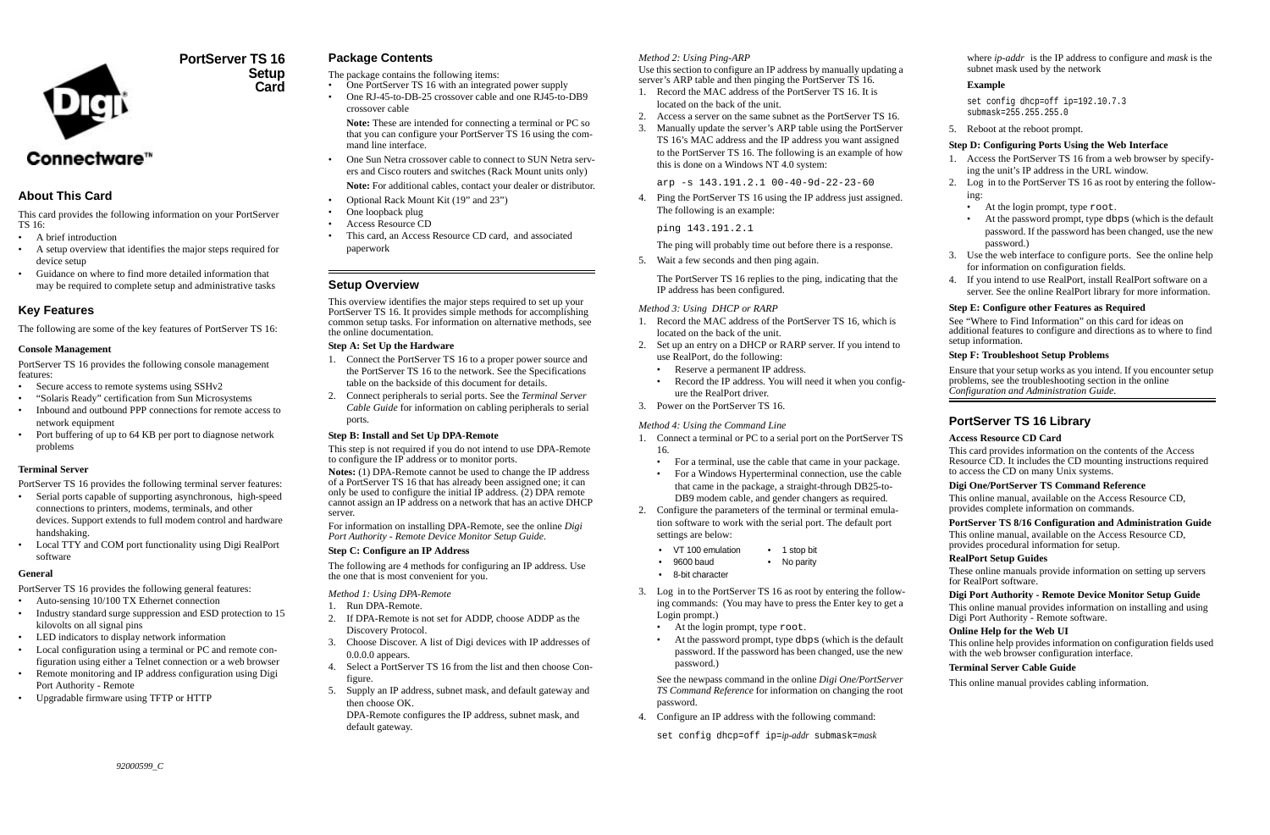

## **PortServer TS 16Setup Card**

# Connectware<sup>™</sup>

## **About This Card**

This card provides the following information on your PortServer TS 16:

- A brief introduction
- A setup overview that identifies the major steps required for device setup
- • Guidance on where to find more detailed information that may be required to complete setup and administrative tasks

## **Key Features**

The following are some of the key features of PortServer TS 16:

## **Console Management**

PortServer TS 16 provides the following console management features:

- •Secure access to remote systems using SSHv2
- •"Solaris Ready" certification from Sun Microsystems
- • Inbound and outbound PPP connections for remote access to network equipment
- • Port buffering of up to 64 KB per port to diagnose network problems

## **Terminal Server**

- Auto-sensing 10/100 TX Ethernet connection
- Industry standard surge suppression and ESD protection to 15 kilovolts on all signal pins
- •LED indicators to display network information
- • Local configuration using a terminal or PC and remote configuration using either a Telnet connection or a web browser
- • Remote monitoring and IP address configuration using Digi Port Authority - Remote
- Upgradable firmware using TFTP or HTTP

PortServer TS 16 provides the following terminal server features:

- Serial ports capable of supporting asynchronous, high-speed connections to printers, modems, terminals, and other devices. Support extends to full modem control and hardware handshaking.
- Local TTY and COM port functionality using Digi RealPort software

## **General**

PortServer TS 16 provides the following general features:

## **Package Contents**

The package contains the following items:

- •One PortServer TS 16 with an integrated power supply
- • One RJ-45-to-DB-25 crossover cable and one RJ45-to-DB9 crossover cable

**Note:** These are intended for connecting a terminal or PC so that you can configure your PortServer TS 16 using the command line interface.

- • One Sun Netra crossover cable to connect to SUN Netra servers and Cisco routers and switches (Rack Mount units only) **Note:** For additional cables, contact your dealer or distributor.
- •Optional Rack Mount Kit (19" and 23")
- •One loopback plug
- •Access Resource CD
- • This card, an Access Resource CD card, and associated paperwork

## **Setup Overview**

This overview identifies the major steps required to set up your PortServer TS 16. It provides simple methods for accomplishing common setup tasks. For information on alternative methods, see the online documentation.

## **Step A: Set Up the Hardware**

- 1. Connect the PortServer TS 16 to a proper power source and the PortServer TS 16 to the network. See the Specifications table on the backside of this document for details.
- 2. Connect peripherals to serial ports. See the *Terminal Server Cable Guide* for information on cabling peripherals to serial ports.

## **Step B: Install and Set Up DPA-Remote**

This step is not required if you do not intend to use DPA-Remote to configure the IP address or to monitor ports.

**Notes:** (1) DPA-Remote cannot be used to change the IP address of a PortServer TS 16 that has already been assigned one; it can only be used to configure the initial IP address. (2) DPA remote cannot assign an IP address on a network that has an active DHCP server.

For information on installing DPA-Remote, see the online *Digi Port Authority - Remote Device Monitor Setup Guide*.

## **Step C: Configure an IP Address**

The following are 4 methods for configuring an IP address. Use the one that is most convenient for you.

## *Method 1: Using DPA-Remote*

- 1. Run DPA-Remote.
- 2. If DPA-Remote is not set for ADDP, choose ADDP as the Discovery Protocol.
- 3. Choose Discover. A list of Digi devices with IP addresses of 0.0.0.0 appears.
- 4. Select a PortServer TS 16 from the list and then choose Configure.
- 5. Supply an IP address, subnet mask, and default gateway and then choose OK.

DPA-Remote configures the IP address, subnet mask, and default gateway.

## *Method 2: Using Ping-ARP*

Use this section to configure an IP address by manually updating a server's ARP table and then pinging the PortServer TS 16.

- 1. Record the MAC address of the PortServer TS 16. It is located on the back of the unit.
- 2. Access a server on the same subnet as the PortServer TS 16.
- 3. Manually update the server's ARP table using the PortServer TS 16's MAC address and the IP address you want assigned to the PortServer TS 16. The following is an example of how this is done on a Windows NT 4.0 system:

arp -s 143.191.2.1 00-40-9d-22-23-60

4. Ping the PortServer TS 16 using the IP address just assigned. The following is an example:

ping 143.191.2.1

The ping will probably time out before there is a response.

5. Wait a few seconds and then ping again.

The PortServer TS 16 replies to the ping, indicating that the IP address has been configured.

#### *Method 3: Using DHCP or RARP*

- 1. Record the MAC address of the PortServer TS 16, which is located on the back of the unit.
- 2. Set up an entry on a DHCP or RARP server. If you intend to use RealPort, do the following:
	- •Reserve a permanent IP address.
	- • Record the IP address. You will need it when you configure the RealPort driver.
- 3. Power on the PortServer TS 16.

## *Method 4: Using the Command Line*

- 3. Log in to the PortServer TS 16 as root by entering the following commands: (You may have to press the Enter key to get a Login prompt.)
	- At the login prompt, type root.
	- • At the password prompt, type dbps (which is the default password. If the password has been changed, use the new password.)

See the newpass command in the online *Digi One/PortServer TS Command Reference* for information on changing the root password.

4. Configure an IP address with the following command:

set config dhcp=off ip=*ip-addr* submask=*mask*

where *ip-addr* is the IP address to configure and *mask* is the subnet mask used by the network

## **Example**

```
set config dhcp=off ip=192.10.7.3 
submask=255.255.255.0
```
5. Reboot at the reboot prompt.

## **Step D: Configuring Ports Using the Web Interface**

- 1. Access the PortServer TS 16 from a web browser by specifying the unit's IP address in the URL window.
- 2. Log in to the PortServer TS 16 as root by entering the following:
	- At the login prompt, type root.
	- At the password prompt, type dbps (which is the default password. If the password has been changed, use the new password.)
- 3. Use the web interface to configure ports. See the online help for information on configuration fields.
- 4. If you intend to use RealPort, install RealPort software on a server. See the online RealPort library for more information.

- 1. Connect a terminal or PC to a serial port on the PortServer TS 16.
	- •For a terminal, use the cable that came in your package.
	- • For a Windows Hyperterminal connection, use the cable that came in the package, a straight-through DB25-to-DB9 modem cable, and gender changers as required.
- 2. Configure the parameters of the terminal or terminal emulation software to work with the serial port. The default port settings are below:
	- VT 100 emulation 1 stop bit
	- 9600 baud No parity
	- •8-bit character

## **Step E: Configure other Features as Required**

See "[Where to Find Information](#page-1-0)" on this card for ideas on additional features to configure and directions as to where to find setup information.

## **Step F: Troubleshoot Setup Problems**

Ensure that your setup works as you intend. If you encounter setup problems, see the troubleshooting section in the online *Configuration and Administration Guide.*

## **PortServer TS 16 Library**

## **Access Resource CD Card**

This card provides information on the contents of the Access Resource CD. It includes the CD mounting instructions required to access the CD on many Unix systems.

## **Digi One/PortServer TS Command Reference**

This online manual, available on the Access Resource CD, provides complete information on commands.

## **PortServer TS 8/16 Configuration and Administration Guide**

This online manual, available on the Access Resource CD, provides procedural information for setup.

## **RealPort Setup Guides**

These online manuals provide information on setting up servers for RealPort software.

## **Digi Port Authority - Remote Device Monitor Setup Guide**

This online manual provides information on installing and using Digi Port Authority - Remote software.

## **Online Help for the Web UI**

This online help provides information on configuration fields used with the web browser configuration interface.

## **Terminal Server Cable Guide**

This online manual provides cabling information.

•